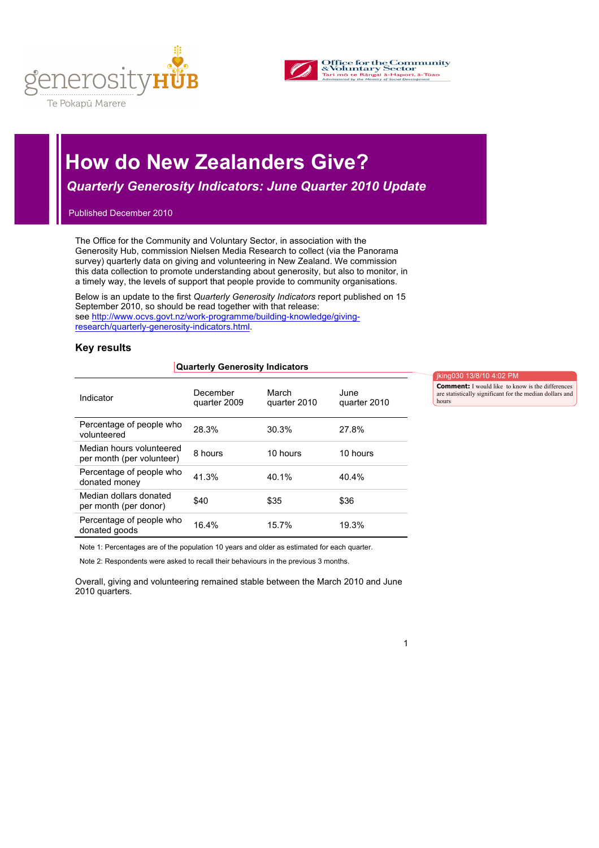



# **How do New Zealanders Give?**

 *Quarterly Generosity Indicators: June Quarter 2010 Update*

Published December 2010

The Office for the Community and Voluntary Sector, in association with the Generosity Hub, commission Nielsen Media Research to collect (via the Panorama survey) quarterly data on giving and volunteering in New Zealand. We commission this data collection to promote understanding about generosity, but also to monitor, in a timely way, the levels of support that people provide to community organisations.

Below is an update to the first *Quarterly Generosity Indicators* report published on 15 September 2010, so should be read together with that release: see http://www.ocvs.govt.nz/work-programme/building-knowledge/givingresearch/quarterly-generosity-indicators.html.

# **Key results**

#### **Quarterly Generosity Indicators**

| Indicator                                             | December<br>quarter 2009 | March<br>quarter 2010 | June<br>quarter 2010 |
|-------------------------------------------------------|--------------------------|-----------------------|----------------------|
| Percentage of people who<br>volunteered               | 28.3%                    | 30.3%                 | 27.8%                |
| Median hours volunteered<br>per month (per volunteer) | 8 hours                  | 10 hours              | 10 hours             |
| Percentage of people who<br>donated money             | 41.3%                    | 40.1%                 | 40.4%                |
| Median dollars donated<br>per month (per donor)       | \$40                     | \$35                  | \$36                 |
| Percentage of people who<br>donated goods             | 16.4%                    | 15.7%                 | 19.3%                |

jking030 13/8/10 4:02 PM

**Comment:** I would like to know is the differences are statistically significant for the median dollars and hours

Note 1: Percentages are of the population 10 years and older as estimated for each quarter.

Note 2: Respondents were asked to recall their behaviours in the previous 3 months.

Overall, giving and volunteering remained stable between the March 2010 and June 2010 quarters.

1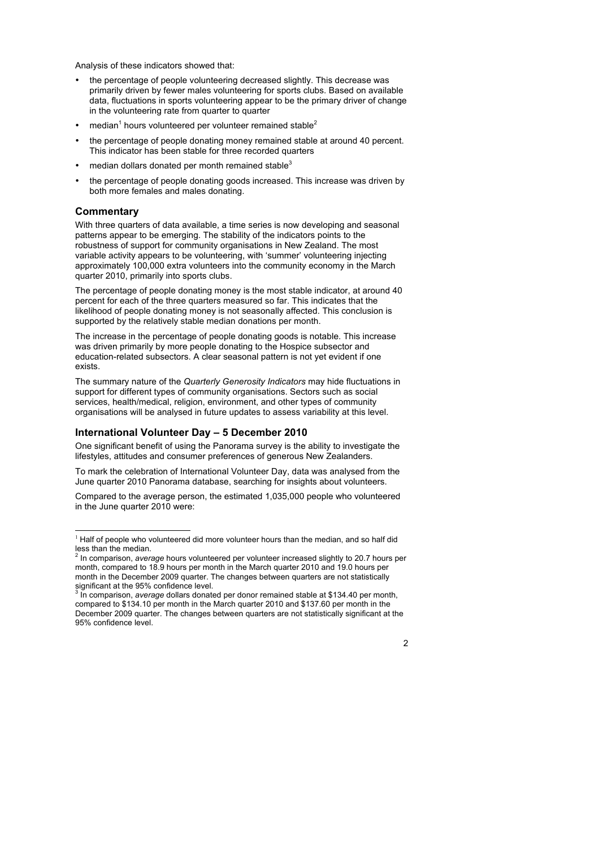Analysis of these indicators showed that:

- the percentage of people volunteering decreased slightly. This decrease was primarily driven by fewer males volunteering for sports clubs. Based on available data, fluctuations in sports volunteering appear to be the primary driver of change in the volunteering rate from quarter to quarter
- median<sup>1</sup> hours volunteered per volunteer remained stable<sup>2</sup>
- the percentage of people donating money remained stable at around 40 percent. This indicator has been stable for three recorded quarters
- median dollars donated per month remained stable<sup>3</sup>
- the percentage of people donating goods increased. This increase was driven by both more females and males donating.

#### **Commentary**

With three quarters of data available, a time series is now developing and seasonal patterns appear to be emerging. The stability of the indicators points to the robustness of support for community organisations in New Zealand. The most variable activity appears to be volunteering, with 'summer' volunteering injecting approximately 100,000 extra volunteers into the community economy in the March quarter 2010, primarily into sports clubs.

The percentage of people donating money is the most stable indicator, at around 40 percent for each of the three quarters measured so far. This indicates that the likelihood of people donating money is not seasonally affected. This conclusion is supported by the relatively stable median donations per month.

The increase in the percentage of people donating goods is notable. This increase was driven primarily by more people donating to the Hospice subsector and education-related subsectors. A clear seasonal pattern is not yet evident if one exists.

The summary nature of the *Quarterly Generosity Indicators* may hide fluctuations in support for different types of community organisations. Sectors such as social services, health/medical, religion, environment, and other types of community organisations will be analysed in future updates to assess variability at this level.

# **International Volunteer Day – 5 December 2010**

One significant benefit of using the Panorama survey is the ability to investigate the lifestyles, attitudes and consumer preferences of generous New Zealanders.

To mark the celebration of International Volunteer Day, data was analysed from the June quarter 2010 Panorama database, searching for insights about volunteers.

Compared to the average person, the estimated 1,035,000 people who volunteered in the June quarter 2010 were:

 $1$  Half of people who volunteered did more volunteer hours than the median, and so half did less than the median. <sup>2</sup> In comparison, *average* hours volunteered per volunteer increased slightly to 20.7 hours per

month, compared to 18.9 hours per month in the March quarter 2010 and 19.0 hours per month in the December 2009 quarter. The changes between quarters are not statistically significant at the 95% confidence level.

In comparison, *average* dollars donated per donor remained stable at \$134.40 per month, compared to \$134.10 per month in the March quarter 2010 and \$137.60 per month in the December 2009 quarter. The changes between quarters are not statistically significant at the 95% confidence level.